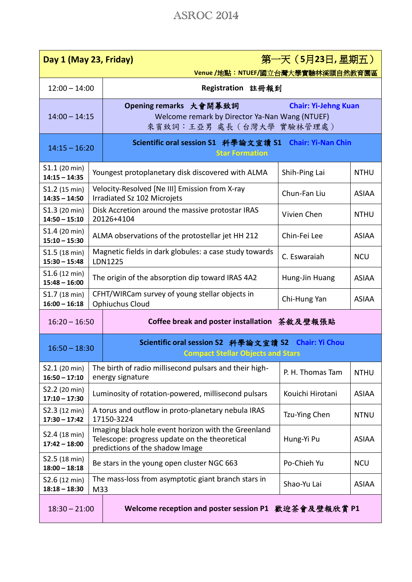## ASROC 2014

| Day 1 (May 23, Friday)             |     |                                                                                                                                         | 第一天 (5月23日,星期五)  |              |  |  |  |
|------------------------------------|-----|-----------------------------------------------------------------------------------------------------------------------------------------|------------------|--------------|--|--|--|
| Venue /地點:NTUEF/國立台灣大學實驗林溪頭自然教育園區  |     |                                                                                                                                         |                  |              |  |  |  |
| $12:00 - 14:00$                    |     | Registration 註冊報到                                                                                                                       |                  |              |  |  |  |
| $14:00 - 14:15$                    |     | Opening remarks 大會開幕致詞<br><b>Chair: Yi-Jehng Kuan</b><br>Welcome remark by Director Ya-Nan Wang (NTUEF)<br>來賓致詞:王亞男 處長(台灣大學 實驗林管理處)     |                  |              |  |  |  |
| $14:15 - 16:20$                    |     | Scientific oral session S1 科學論文宣讀 S1 Chair: Yi-Nan Chin<br><b>Star Formation</b>                                                        |                  |              |  |  |  |
| S1.1 (20 min)<br>$14:15 - 14:35$   |     | Youngest protoplanetary disk discovered with ALMA                                                                                       | Shih-Ping Lai    | <b>NTHU</b>  |  |  |  |
| S1.2 (15 min)<br>$14:35 - 14:50$   |     | Velocity-Resolved [Ne III] Emission from X-ray<br>Irradiated Sz 102 Microjets                                                           | Chun-Fan Liu     | <b>ASIAA</b> |  |  |  |
| S1.3 (20 min)<br>$14:50 - 15:10$   |     | Disk Accretion around the massive protostar IRAS<br>20126+4104                                                                          | Vivien Chen      | <b>NTHU</b>  |  |  |  |
| S1.4 (20 min)<br>$15:10 - 15:30$   |     | ALMA observations of the protostellar jet HH 212                                                                                        | Chin-Fei Lee     | <b>ASIAA</b> |  |  |  |
| S1.5 (18 min)<br>$15:30 - 15:48$   |     | Magnetic fields in dark globules: a case study towards<br>C. Eswaraiah<br><b>NCU</b><br>LDN1225                                         |                  |              |  |  |  |
| $$1.6$ (12 min)<br>$15:48 - 16:00$ |     | The origin of the absorption dip toward IRAS 4A2<br>Hung-Jin Huang                                                                      |                  |              |  |  |  |
| S1.7 (18 min)<br>$16:00 - 16:18$   |     | CFHT/WIRCam survey of young stellar objects in<br><b>Ophiuchus Cloud</b>                                                                | Chi-Hung Yan     | <b>ASIAA</b> |  |  |  |
| $16:20 - 16:50$                    |     | Coffee break and poster installation 茶敘及壁報張貼                                                                                            |                  |              |  |  |  |
| $16:50 - 18:30$                    |     | Scientific oral session S2 科學論文宣讀 S2 Chair: Yi Chou<br><b>Compact Stellar Objects and Stars</b>                                         |                  |              |  |  |  |
| S2.1 (20 min)<br>$16:50 - 17:10$   |     | The birth of radio millisecond pulsars and their high-<br>energy signature                                                              | P. H. Thomas Tam | <b>NTHU</b>  |  |  |  |
| S2.2 (20 min)<br>$17:10 - 17:30$   |     | Luminosity of rotation-powered, millisecond pulsars                                                                                     | Kouichi Hirotani | <b>ASIAA</b> |  |  |  |
| S2.3 (12 min)<br>$17:30 - 17:42$   |     | A torus and outflow in proto-planetary nebula IRAS<br>17150-3224                                                                        | Tzu-Ying Chen    | <b>NTNU</b>  |  |  |  |
| S2.4 (18 min)<br>$17:42 - 18:00$   |     | Imaging black hole event horizon with the Greenland<br>Telescope: progress update on the theoretical<br>predictions of the shadow Image | Hung-Yi Pu       | <b>ASIAA</b> |  |  |  |
| S2.5 (18 min)<br>$18:00 - 18:18$   |     | Be stars in the young open cluster NGC 663                                                                                              | Po-Chieh Yu      | <b>NCU</b>   |  |  |  |
| S2.6 (12 min)<br>$18:18 - 18:30$   | M33 | The mass-loss from asymptotic giant branch stars in                                                                                     | Shao-Yu Lai      | <b>ASIAA</b> |  |  |  |
| $18:30 - 21:00$                    |     | Welcome reception and poster session P1 歡迎茶會及壁報欣賞 P1                                                                                    |                  |              |  |  |  |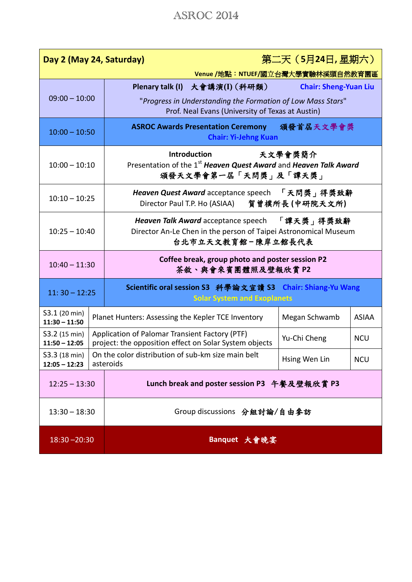## ASROC 2014

| 第二天 (5月24日,星期六)<br>Day 2 (May 24, Saturday) |  |                                                                                                                                        |               |              |  |  |  |
|---------------------------------------------|--|----------------------------------------------------------------------------------------------------------------------------------------|---------------|--------------|--|--|--|
| Venue /地點: NTUEF/國立台灣大學實驗林溪頭自然教育園區          |  |                                                                                                                                        |               |              |  |  |  |
|                                             |  | Plenary talk (I) 大會講演(I) (科研類)<br><b>Chair: Sheng-Yuan Liu</b>                                                                         |               |              |  |  |  |
| $09:00 - 10:00$                             |  | "Progress in Understanding the Formation of Low Mass Stars"<br>Prof. Neal Evans (University of Texas at Austin)                        |               |              |  |  |  |
| $10:00 - 10:50$                             |  | 頒發首屆天文學會獎<br><b>ASROC Awards Presentation Ceremony</b><br><b>Chair: Yi-Jehng Kuan</b>                                                  |               |              |  |  |  |
| $10:00 - 10:10$                             |  | <b>Introduction</b><br>天文學會獎簡介<br>Presentation of the 1 <sup>st</sup> Heaven Quest Award and Heaven Talk Award<br>頒發天文學會第一屆「天問獎」及「譚天獎」 |               |              |  |  |  |
| $10:10 - 10:25$                             |  | Heaven Quest Award acceptance speech 「天問獎」得獎致辭<br>Director Paul T.P. Ho (ASIAA) 賀曾樸所長 (中研院天文所)                                         |               |              |  |  |  |
| $10:25 - 10:40$                             |  | Heaven Talk Award acceptance speech 「譚天獎」得獎致辭<br>Director An-Le Chen in the person of Taipei Astronomical Museum<br>台北市立天文教育館-陳岸立館長代表  |               |              |  |  |  |
| $10:40 - 11:30$                             |  | Coffee break, group photo and poster session P2<br>茶敘、與會來賓團體照及壁報欣賞 P2                                                                  |               |              |  |  |  |
| $11:30 - 12:25$                             |  | Scientific oral session S3 科學論文宣讀 S3 Chair: Shiang-Yu Wang<br><b>Solar System and Exoplanets</b>                                       |               |              |  |  |  |
| S3.1 (20 min)<br>$11:30 - 11:50$            |  | Planet Hunters: Assessing the Kepler TCE Inventory                                                                                     | Megan Schwamb | <b>ASIAA</b> |  |  |  |
| S3.2 (15 min)<br>$11:50 - 12:05$            |  | Application of Palomar Transient Factory (PTF)<br>project: the opposition effect on Solar System objects                               | Yu-Chi Cheng  | <b>NCU</b>   |  |  |  |
| S3.3 (18 min)<br>$12:05 - 12:23$            |  | On the color distribution of sub-km size main belt<br>asteroids                                                                        | Hsing Wen Lin | <b>NCU</b>   |  |  |  |
| $12:25 - 13:30$                             |  | Lunch break and poster session P3 午餐及壁報欣賞 P3                                                                                           |               |              |  |  |  |
| $13:30 - 18:30$                             |  | Group discussions 分組討論/自由參訪                                                                                                            |               |              |  |  |  |
| $18:30 - 20:30$                             |  | Banquet 大會晚宴                                                                                                                           |               |              |  |  |  |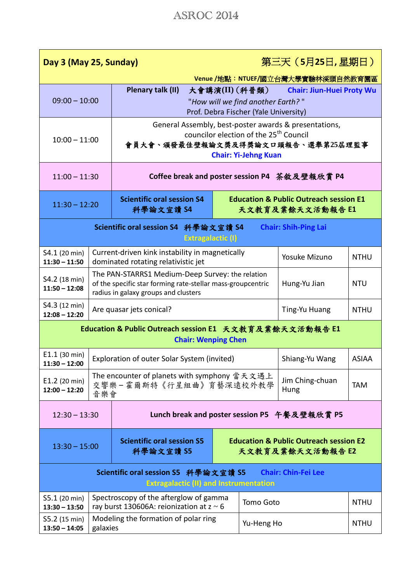| Day 3 (May 25, Sunday)                                                                                              |                                                                                         |                                                                                                                                                         |                                                                       |                                                                       | 第三天 (5月25日,星期日)                  |              |  |
|---------------------------------------------------------------------------------------------------------------------|-----------------------------------------------------------------------------------------|---------------------------------------------------------------------------------------------------------------------------------------------------------|-----------------------------------------------------------------------|-----------------------------------------------------------------------|----------------------------------|--------------|--|
| Venue /地點:NTUEF/國立台灣大學實驗林溪頭自然教育園區                                                                                   |                                                                                         |                                                                                                                                                         |                                                                       |                                                                       |                                  |              |  |
|                                                                                                                     |                                                                                         | Plenary talk (II)                                                                                                                                       |                                                                       | 大會講演(II)(科普類)                                                         | <b>Chair: Jiun-Huei Proty Wu</b> |              |  |
| $09:00 - 10:00$                                                                                                     |                                                                                         | "How will we find another Earth?"<br>Prof. Debra Fischer (Yale University)                                                                              |                                                                       |                                                                       |                                  |              |  |
|                                                                                                                     |                                                                                         | General Assembly, best-poster awards & presentations,                                                                                                   |                                                                       |                                                                       |                                  |              |  |
| $10:00 - 11:00$                                                                                                     |                                                                                         | councilor election of the 25 <sup>th</sup> Council<br>會員大會、頒發最佳壁報論文獎及得獎論文口頭報告、選舉第25屆理監事                                                                 |                                                                       |                                                                       |                                  |              |  |
|                                                                                                                     |                                                                                         | <b>Chair: Yi-Jehng Kuan</b>                                                                                                                             |                                                                       |                                                                       |                                  |              |  |
| $11:00 - 11:30$                                                                                                     |                                                                                         | Coffee break and poster session P4 茶敘及壁報欣賞 P4                                                                                                           |                                                                       |                                                                       |                                  |              |  |
| $11:30 - 12:20$                                                                                                     |                                                                                         | <b>Scientific oral session S4</b><br>科學論文宣讀 S4                                                                                                          |                                                                       | <b>Education &amp; Public Outreach session E1</b><br>天文教育及業餘天文活動報告 E1 |                                  |              |  |
| Scientific oral session S4 科學論文宣讀 S4<br><b>Chair: Shih-Ping Lai</b><br><b>Extragalactic (I)</b>                     |                                                                                         |                                                                                                                                                         |                                                                       |                                                                       |                                  |              |  |
| S4.1 (20 min)<br>$11:30 - 11:50$                                                                                    |                                                                                         | Current-driven kink instability in magnetically<br>dominated rotating relativistic jet                                                                  |                                                                       |                                                                       | Yosuke Mizuno                    | <b>NTHU</b>  |  |
| S4.2 (18 min)<br>$11:50 - 12:08$                                                                                    |                                                                                         | The PAN-STARRS1 Medium-Deep Survey: the relation<br>of the specific star forming rate-stellar mass-groupcentric<br>radius in galaxy groups and clusters | Hung-Yu Jian                                                          | <b>NTU</b>                                                            |                                  |              |  |
| S4.3 (12 min)<br>$12:08 - 12:20$                                                                                    |                                                                                         | Are quasar jets conical?                                                                                                                                |                                                                       | Ting-Yu Huang                                                         | <b>NTHU</b>                      |              |  |
| Education & Public Outreach session E1 天文教育及業餘天文活動報告 E1<br><b>Chair: Wenping Chen</b>                               |                                                                                         |                                                                                                                                                         |                                                                       |                                                                       |                                  |              |  |
| E1.1 (30 min)<br>$11:30 - 12:00$                                                                                    | Exploration of outer Solar System (invited)                                             |                                                                                                                                                         |                                                                       |                                                                       | Shiang-Yu Wang                   | <b>ASIAA</b> |  |
| E1.2 (20 min)<br>$12:00 - 12:20$                                                                                    |                                                                                         | The encounter of planets with symphony 當天文遇上<br>交響樂-霍爾斯特《行星組曲》育藝深遠校外教學<br>音樂會                                                                           |                                                                       |                                                                       | Jim Ching-chuan<br>Hung          | <b>TAM</b>   |  |
| Lunch break and poster session P5 午餐及壁報欣賞 P5<br>$12:30 - 13:30$                                                     |                                                                                         |                                                                                                                                                         |                                                                       |                                                                       |                                  |              |  |
| $13:30 - 15:00$                                                                                                     |                                                                                         | <b>Scientific oral session S5</b><br>科學論文宣讀 S5                                                                                                          | <b>Education &amp; Public Outreach session E2</b><br>天文教育及業餘天文活動報告 E2 |                                                                       |                                  |              |  |
| Scientific oral session S5 科學論文宣讀 S5<br><b>Chair: Chin-Fei Lee</b><br><b>Extragalactic (II) and Instrumentation</b> |                                                                                         |                                                                                                                                                         |                                                                       |                                                                       |                                  |              |  |
| S5.1 (20 min)<br>$13:30 - 13:50$                                                                                    | Spectroscopy of the afterglow of gamma<br>ray burst 130606A: reionization at $z \sim 6$ |                                                                                                                                                         |                                                                       | Tomo Goto<br><b>NTHU</b>                                              |                                  |              |  |
| S5.2 (15 min)<br>$13:50 - 14:05$                                                                                    | Modeling the formation of polar ring<br>galaxies                                        |                                                                                                                                                         |                                                                       | Yu-Heng Ho                                                            |                                  | <b>NTHU</b>  |  |